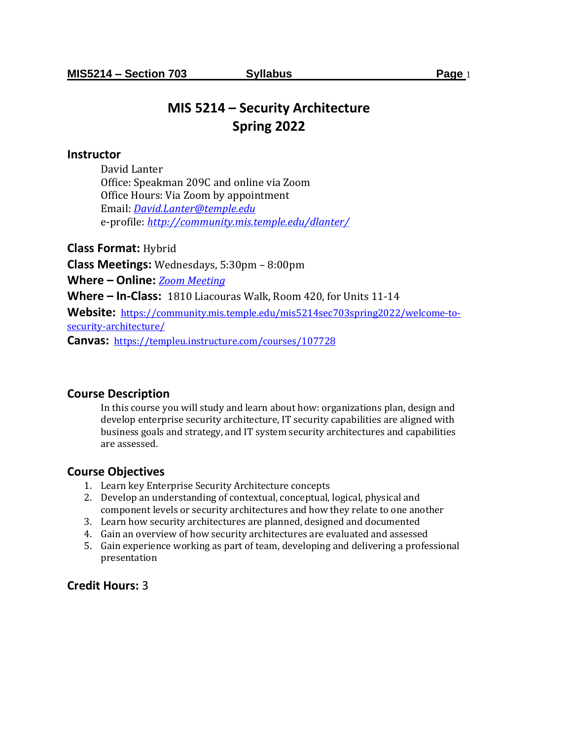# **MIS 5214 – Security Architecture Spring 2022**

### **Instructor**

David Lanter Office: Speakman 209C and online via Zoom Office Hours: Via Zoom by appointment Email: *[David.Lanter@temple.edu](mailto:David.Lanter@temple.edu)* e-profile: *<http://community.mis.temple.edu/dlanter/>*

**Class Format:** Hybrid

**Class Meetings:** Wednesdays, 5:30pm – 8:00pm

**Where – Online:** *[Zoom Meeting](https://temple.zoom.us/j/95120926086?pwd=RkdCS2pHYjc1OWYyRnE4UDVXZ3R2QT09)*

**Where – In-Class:** 1810 Liacouras Walk, Room 420, for Units 11-14

**Website:** [https://community.mis.temple.edu/mis5214sec703spring2022/welcome-to](https://community.mis.temple.edu/mis5214sec703spring2022/welcome-to-security-architecture/)[security-architecture/](https://community.mis.temple.edu/mis5214sec703spring2022/welcome-to-security-architecture/)

**Canvas:** <https://templeu.instructure.com/courses/107728>

### **Course Description**

In this course you will study and learn about how: organizations plan, design and develop enterprise security architecture, IT security capabilities are aligned with business goals and strategy, and IT system security architectures and capabilities are assessed.

### **Course Objectives**

- 1. Learn key Enterprise Security Architecture concepts
- 2. Develop an understanding of contextual, conceptual, logical, physical and component levels or security architectures and how they relate to one another
- 3. Learn how security architectures are planned, designed and documented
- 4. Gain an overview of how security architectures are evaluated and assessed
- 5. Gain experience working as part of team, developing and delivering a professional presentation

# **Credit Hours:** 3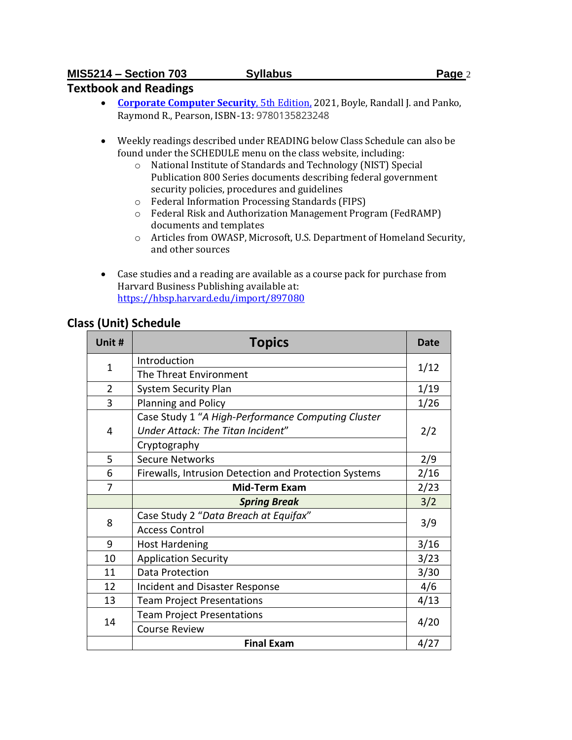# **Textbook and Readings**

- **[Corporate Computer Security](https://www.pearson.com/store/p/corporate-computer-security/P100002649199/9780135823248)**, 5th Edition, 2021, Boyle, Randall J. and Panko, Raymond R., Pearson, ISBN-13: 9780135823248
- Weekly readings described under READING below Class Schedule can also be found under the SCHEDULE menu on the class website, including:
	- o National Institute of Standards and Technology (NIST) Special Publication 800 Series documents describing federal government security policies, procedures and guidelines
	- o Federal Information Processing Standards (FIPS)
	- o Federal Risk and Authorization Management Program (FedRAMP) documents and templates
	- o Articles from OWASP, Microsoft, U.S. Department of Homeland Security, and other sources
- Case studies and a reading are available as a course pack for purchase from Harvard Business Publishing available at: <https://hbsp.harvard.edu/import/897080>

# **Class (Unit) Schedule**

| Unit #         | <b>Topics</b>                                         | Date                                                                                            |
|----------------|-------------------------------------------------------|-------------------------------------------------------------------------------------------------|
| $\mathbf{1}$   | Introduction                                          |                                                                                                 |
|                | The Threat Environment                                | 1/12<br>1/19<br>1/26<br>2/2<br>2/9<br>2/16<br>2/23<br>3/2<br>3/9<br>3/16<br>3/23<br>3/30<br>4/6 |
| $\overline{2}$ | <b>System Security Plan</b>                           |                                                                                                 |
| 3              | Planning and Policy                                   |                                                                                                 |
|                | Case Study 1 "A High-Performance Computing Cluster    |                                                                                                 |
| 4              | Under Attack: The Titan Incident"                     |                                                                                                 |
|                | Cryptography                                          |                                                                                                 |
| 5              | <b>Secure Networks</b>                                |                                                                                                 |
| 6              | Firewalls, Intrusion Detection and Protection Systems |                                                                                                 |
| 7              | <b>Mid-Term Exam</b>                                  |                                                                                                 |
|                | <b>Spring Break</b>                                   |                                                                                                 |
| 8              | Case Study 2 "Data Breach at Equifax"                 |                                                                                                 |
|                | <b>Access Control</b>                                 |                                                                                                 |
| 9              | <b>Host Hardening</b>                                 |                                                                                                 |
| 10             | <b>Application Security</b>                           |                                                                                                 |
| 11             | Data Protection                                       |                                                                                                 |
| 12             | Incident and Disaster Response                        |                                                                                                 |
| 13             | <b>Team Project Presentations</b>                     | 4/13                                                                                            |
|                | <b>Team Project Presentations</b>                     | 4/20                                                                                            |
| 14             | <b>Course Review</b>                                  |                                                                                                 |
|                | <b>Final Exam</b>                                     | 4/27                                                                                            |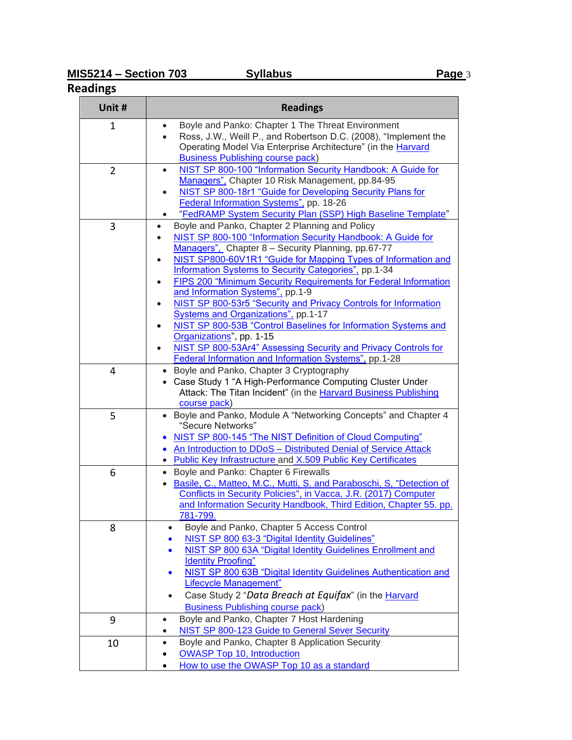# **Readings**

| Unit #         | <b>Readings</b>                                                                                                                                                                                                                                                                                                                                                                                                                                                                                                                                                                                                                                                                                    |
|----------------|----------------------------------------------------------------------------------------------------------------------------------------------------------------------------------------------------------------------------------------------------------------------------------------------------------------------------------------------------------------------------------------------------------------------------------------------------------------------------------------------------------------------------------------------------------------------------------------------------------------------------------------------------------------------------------------------------|
| 1              | Boyle and Panko: Chapter 1 The Threat Environment<br>Ross, J.W., Weill P., and Robertson D.C. (2008), "Implement the<br>$\bullet$<br>Operating Model Via Enterprise Architecture" (in the Harvard<br><b>Business Publishing course pack)</b>                                                                                                                                                                                                                                                                                                                                                                                                                                                       |
| $\overline{2}$ | NIST SP 800-100 "Information Security Handbook: A Guide for<br>$\bullet$<br>Managers", Chapter 10 Risk Management, pp.84-95<br>NIST SP 800-18r1 "Guide for Developing Security Plans for<br>$\bullet$                                                                                                                                                                                                                                                                                                                                                                                                                                                                                              |
|                | Federal Information Systems", pp. 18-26<br>"FedRAMP System Security Plan (SSP) High Baseline Template"                                                                                                                                                                                                                                                                                                                                                                                                                                                                                                                                                                                             |
| 3              | Boyle and Panko, Chapter 2 Planning and Policy<br>NIST SP 800-100 "Information Security Handbook: A Guide for<br>Managers", Chapter 8 - Security Planning, pp.67-77<br>NIST SP800-60V1R1 "Guide for Mapping Types of Information and<br>$\bullet$<br><b>Information Systems to Security Categories"</b> , pp.1-34<br>FIPS 200 "Minimum Security Requirements for Federal Information<br>and Information Systems", pp.1-9<br>NIST SP 800-53r5 "Security and Privacy Controls for Information<br>Systems and Organizations", pp.1-17<br>NIST SP 800-53B "Control Baselines for Information Systems and<br>Organizations", pp. 1-15<br>NIST SP 800-53Ar4" Assessing Security and Privacy Controls for |
| 4              | Federal Information and Information Systems", pp.1-28<br>Boyle and Panko, Chapter 3 Cryptography<br>• Case Study 1 "A High-Performance Computing Cluster Under<br>Attack: The Titan Incident" (in the Harvard Business Publishing<br>course pack)                                                                                                                                                                                                                                                                                                                                                                                                                                                  |
| 5              | Boyle and Panko, Module A "Networking Concepts" and Chapter 4<br>"Secure Networks"<br>NIST SP 800-145 "The NIST Definition of Cloud Computing"<br>An Introduction to DDoS - Distributed Denial of Service Attack<br>• Public Key Infrastructure and X.509 Public Key Certificates                                                                                                                                                                                                                                                                                                                                                                                                                  |
| 6              | • Boyle and Panko: Chapter 6 Firewalls<br>Basile, C., Matteo, M.C., Mutti, S. and Paraboschi, S, "Detection of<br>Conflicts in Security Policies", in Vacca, J.R. (2017) Computer<br>and Information Security Handbook, Third Edition, Chapter 55. pp.<br>781-799.                                                                                                                                                                                                                                                                                                                                                                                                                                 |
| 8              | Boyle and Panko, Chapter 5 Access Control<br>NIST SP 800 63-3 "Digital Identity Guidelines"<br>NIST SP 800 63A "Digital Identity Guidelines Enrollment and<br><b>Identity Proofing"</b><br>NIST SP 800 63B "Digital Identity Guidelines Authentication and<br>$\bullet$<br><b>Lifecycle Management"</b><br>Case Study 2 "Data Breach at Equifax" (in the Harvard<br>$\bullet$<br><b>Business Publishing course pack)</b>                                                                                                                                                                                                                                                                           |
| 9              | Boyle and Panko, Chapter 7 Host Hardening<br>$\bullet$<br><b>NIST SP 800-123 Guide to General Sever Security</b>                                                                                                                                                                                                                                                                                                                                                                                                                                                                                                                                                                                   |
| 10             | Boyle and Panko, Chapter 8 Application Security<br>$\bullet$<br><b>OWASP Top 10, Introduction</b><br>How to use the OWASP Top 10 as a standard                                                                                                                                                                                                                                                                                                                                                                                                                                                                                                                                                     |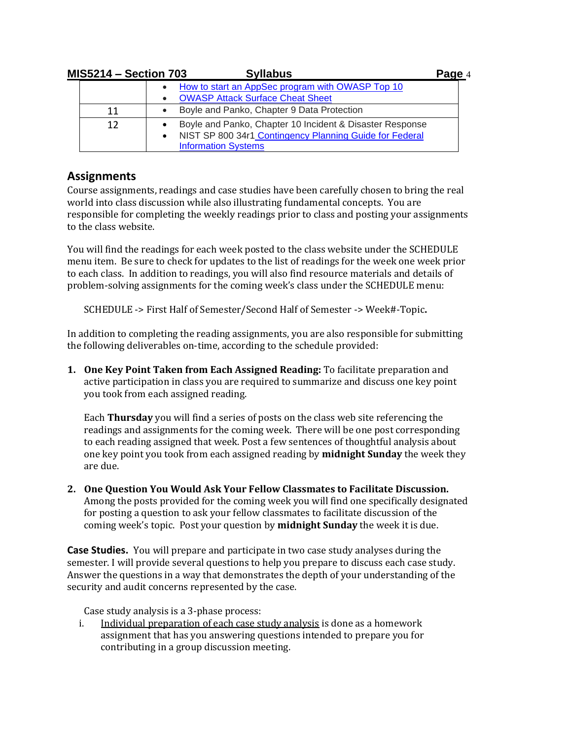| <b>MIS5214 - Section 703</b> |           | <b>Syllabus</b>                                                                                                     | Page 4 |
|------------------------------|-----------|---------------------------------------------------------------------------------------------------------------------|--------|
|                              |           | How to start an AppSec program with OWASP Top 10<br><b>OWASP Attack Surface Cheat Sheet</b>                         |        |
| 11                           |           | Boyle and Panko, Chapter 9 Data Protection                                                                          |        |
| 12                           | $\bullet$ | Boyle and Panko, Chapter 10 Incident & Disaster Response<br>NIST SP 800 34r1 Contingency Planning Guide for Federal |        |
|                              |           | <b>Information Systems</b>                                                                                          |        |

# **Assignments**

Course assignments, readings and case studies have been carefully chosen to bring the real world into class discussion while also illustrating fundamental concepts. You are responsible for completing the weekly readings prior to class and posting your assignments to the class website.

You will find the readings for each week posted to the class website under the SCHEDULE menu item. Be sure to check for updates to the list of readings for the week one week prior to each class. In addition to readings, you will also find resource materials and details of problem-solving assignments for the coming week's class under the SCHEDULE menu:

SCHEDULE -> First Half of Semester/Second Half of Semester -> Week#-Topic**.** 

In addition to completing the reading assignments, you are also responsible for submitting the following deliverables on-time, according to the schedule provided:

**1. One Key Point Taken from Each Assigned Reading:** To facilitate preparation and active participation in class you are required to summarize and discuss one key point you took from each assigned reading.

Each **Thursday** you will find a series of posts on the class web site referencing the readings and assignments for the coming week. There will be one post corresponding to each reading assigned that week. Post a few sentences of thoughtful analysis about one key point you took from each assigned reading by **midnight Sunday** the week they are due.

**2. One Question You Would Ask Your Fellow Classmates to Facilitate Discussion.**  Among the posts provided for the coming week you will find one specifically designated for posting a question to ask your fellow classmates to facilitate discussion of the coming week's topic. Post your question by **midnight Sunday** the week it is due.

**Case Studies.** You will prepare and participate in two case study analyses during the semester. I will provide several questions to help you prepare to discuss each case study. Answer the questions in a way that demonstrates the depth of your understanding of the security and audit concerns represented by the case.

Case study analysis is a 3-phase process:

i. Individual preparation of each case study analysis is done as a homework assignment that has you answering questions intended to prepare you for contributing in a group discussion meeting.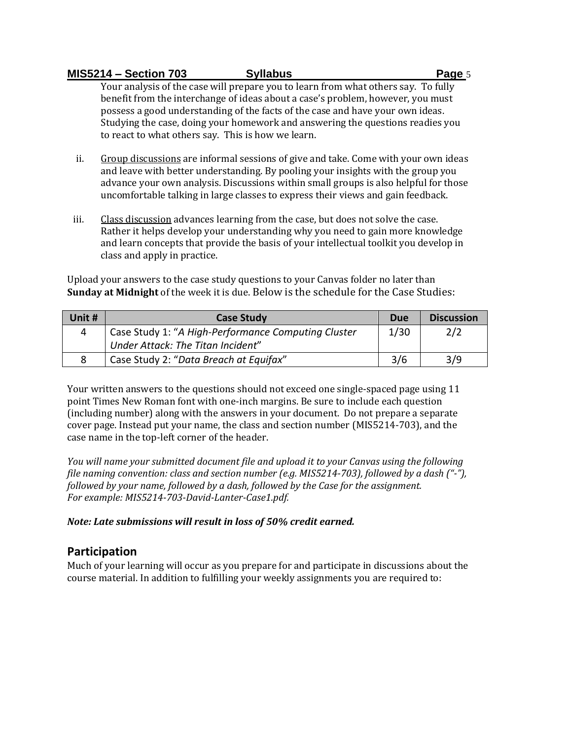Your analysis of the case will prepare you to learn from what others say. To fully benefit from the interchange of ideas about a case's problem, however, you must possess a good understanding of the facts of the case and have your own ideas. Studying the case, doing your homework and answering the questions readies you to react to what others say. This is how we learn.

- ii. Group discussions are informal sessions of give and take. Come with your own ideas and leave with better understanding. By pooling your insights with the group you advance your own analysis. Discussions within small groups is also helpful for those uncomfortable talking in large classes to express their views and gain feedback.
- iii. Class discussion advances learning from the case, but does not solve the case. Rather it helps develop your understanding why you need to gain more knowledge and learn concepts that provide the basis of your intellectual toolkit you develop in class and apply in practice.

Upload your answers to the case study questions to your Canvas folder no later than **Sunday at Midnight** of the week it is due. Below is the schedule for the Case Studies:

| Unit # | <b>Case Study</b>                                   | Due  | <b>Discussion</b> |
|--------|-----------------------------------------------------|------|-------------------|
|        | Case Study 1: "A High-Performance Computing Cluster | 1/30 | 2/2               |
|        | Under Attack: The Titan Incident"                   |      |                   |
|        | Case Study 2: "Data Breach at Equifax"              | 3/6  | 3/9               |

Your written answers to the questions should not exceed one single-spaced page using 11 point Times New Roman font with one-inch margins. Be sure to include each question (including number) along with the answers in your document. Do not prepare a separate cover page. Instead put your name, the class and section number (MIS5214-703), and the case name in the top-left corner of the header.

*You will name your submitted document file and upload it to your Canvas using the following file naming convention: class and section number (e.g. MIS5214-703), followed by a dash ("-"), followed by your name, followed by a dash, followed by the Case for the assignment. For example: MIS5214-703-David-Lanter-Case1.pdf.*

*Note: Late submissions will result in loss of 50% credit earned.* 

# **Participation**

Much of your learning will occur as you prepare for and participate in discussions about the course material. In addition to fulfilling your weekly assignments you are required to: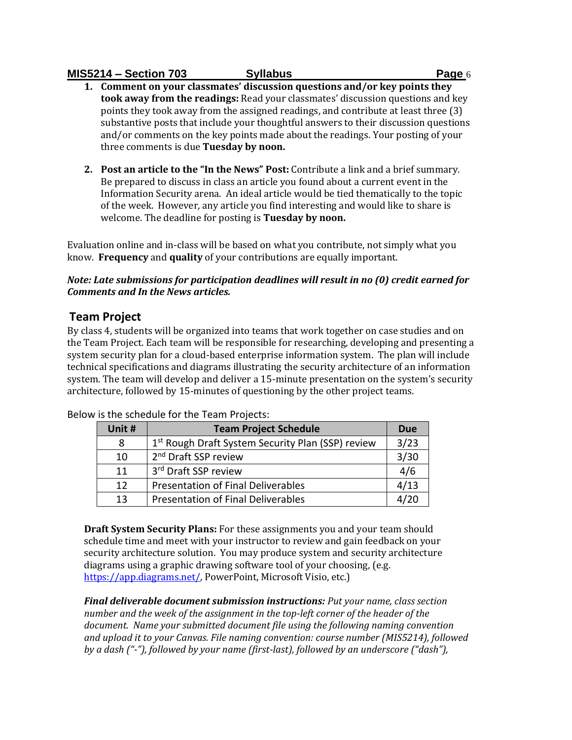**1. Comment on your classmates' discussion questions and/or key points they took away from the readings:** Read your classmates' discussion questions and key points they took away from the assigned readings, and contribute at least three (3) substantive posts that include your thoughtful answers to their discussion questions and/or comments on the key points made about the readings. Your posting of your three comments is due **Tuesday by noon.** 

**2. Post an article to the "In the News" Post:** Contribute a link and a brief summary. Be prepared to discuss in class an article you found about a current event in the Information Security arena. An ideal article would be tied thematically to the topic of the week. However, any article you find interesting and would like to share is welcome. The deadline for posting is **Tuesday by noon.** 

Evaluation online and in-class will be based on what you contribute, not simply what you know. **Frequency** and **quality** of your contributions are equally important.

### *Note: Late submissions for participation deadlines will result in no (0) credit earned for Comments and In the News articles.*

# **Team Project**

By class 4, students will be organized into teams that work together on case studies and on the Team Project. Each team will be responsible for researching, developing and presenting a system security plan for a cloud-based enterprise information system. The plan will include technical specifications and diagrams illustrating the security architecture of an information system. The team will develop and deliver a 15-minute presentation on the system's security architecture, followed by 15-minutes of questioning by the other project teams.

| Unit # | <b>Team Project Schedule</b>                                  | <b>Due</b> |
|--------|---------------------------------------------------------------|------------|
| 8      | 1 <sup>st</sup> Rough Draft System Security Plan (SSP) review | 3/23       |
| 10     | 2 <sup>nd</sup> Draft SSP review                              | 3/30       |
| 11     | 3rd Draft SSP review                                          | 4/6        |
| 12     | <b>Presentation of Final Deliverables</b>                     | 4/13       |
| 13     | <b>Presentation of Final Deliverables</b>                     | 4/20       |

Below is the schedule for the Team Projects:

**Draft System Security Plans:** For these assignments you and your team should schedule time and meet with your instructor to review and gain feedback on your security architecture solution. You may produce system and security architecture diagrams using a graphic drawing software tool of your choosing, (e.g. [https://app.diagrams.net/,](https://app.diagrams.net/) PowerPoint, Microsoft Visio, etc.)

*Final deliverable document submission instructions: Put your name, class section number and the week of the assignment in the top-left corner of the header of the document. Name your submitted document file using the following naming convention and upload it to your Canvas. File naming convention: course number (MIS5214), followed by a dash ("-"), followed by your name (first-last), followed by an underscore ("dash"),*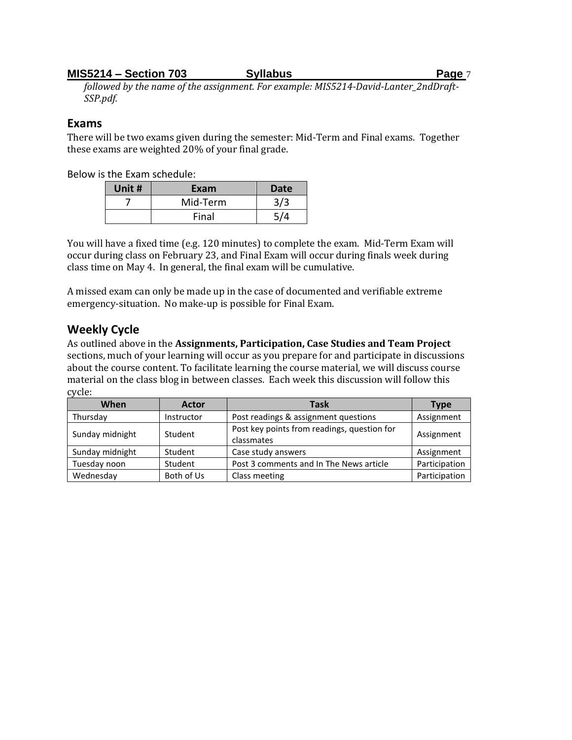*followed by the name of the assignment. For example: MIS5214-David-Lanter\_2ndDraft-SSP.pdf.* 

### **Exams**

There will be two exams given during the semester: Mid-Term and Final exams. Together these exams are weighted 20% of your final grade.

Below is the Exam schedule:

| Unit # | Exam     | <b>Date</b> |
|--------|----------|-------------|
|        | Mid-Term | 3/3         |
|        | Final    | <b>C/4</b>  |

You will have a fixed time (e.g. 120 minutes) to complete the exam. Mid-Term Exam will occur during class on February 23, and Final Exam will occur during finals week during class time on May 4. In general, the final exam will be cumulative.

A missed exam can only be made up in the case of documented and verifiable extreme emergency-situation. No make-up is possible for Final Exam.

# **Weekly Cycle**

As outlined above in the **Assignments, Participation, Case Studies and Team Project** sections, much of your learning will occur as you prepare for and participate in discussions about the course content. To facilitate learning the course material, we will discuss course material on the class blog in between classes. Each week this discussion will follow this cycle:

| When            | <b>Actor</b> | Task                                                      | <b>Type</b>   |
|-----------------|--------------|-----------------------------------------------------------|---------------|
| Thursday        | Instructor   | Post readings & assignment questions                      | Assignment    |
| Sunday midnight | Student      | Post key points from readings, question for<br>classmates | Assignment    |
| Sunday midnight | Student      | Case study answers                                        | Assignment    |
| Tuesday noon    | Student      | Post 3 comments and In The News article                   | Participation |
| Wednesday       | Both of Us   | Class meeting                                             | Participation |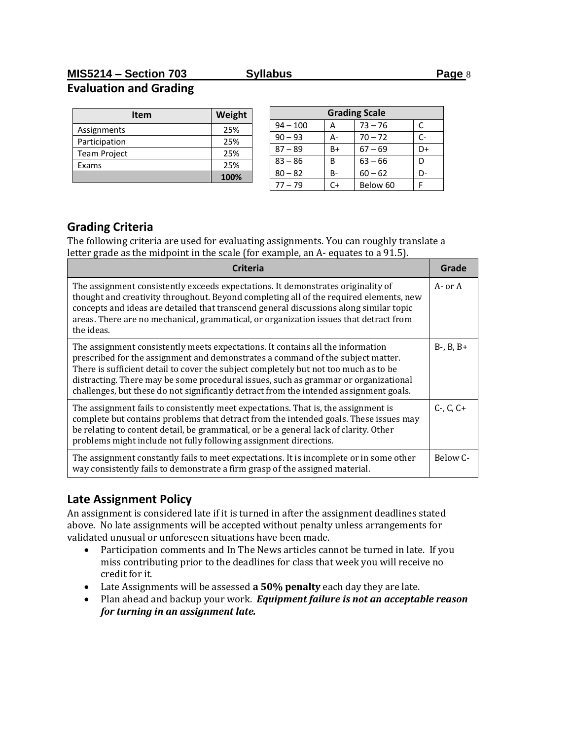# **MIS5214 – Section 703 Syllabus Page** 8 **Evaluation and Grading**

| <b>Item</b>         | Weight |
|---------------------|--------|
| Assignments         | 25%    |
| Participation       | 25%    |
| <b>Team Project</b> | 25%    |
| Exams               | 25%    |
|                     | 100%   |

| <b>Grading Scale</b> |    |           |    |
|----------------------|----|-----------|----|
| $94 - 100$           | А  | $73 - 76$ | C  |
| $90 - 93$            | А- | $70 - 72$ | r- |
| $87 - 89$            | B+ | $67 - 69$ | D+ |
| $83 - 86$            | B  | $63 - 66$ | D  |
| $80 - 82$            | B- | $60 - 62$ | D- |
| $77 - 79$            | ∩+ | Below 60  |    |

# **Grading Criteria**

The following criteria are used for evaluating assignments. You can roughly translate a letter grade as the midpoint in the scale (for example, an A- equates to a 91.5).

| Criteria                                                                                                                                                                                                                                                                                                                                                                                                                                    | Grade             |
|---------------------------------------------------------------------------------------------------------------------------------------------------------------------------------------------------------------------------------------------------------------------------------------------------------------------------------------------------------------------------------------------------------------------------------------------|-------------------|
| The assignment consistently exceeds expectations. It demonstrates originality of<br>thought and creativity throughout. Beyond completing all of the required elements, new<br>concepts and ideas are detailed that transcend general discussions along similar topic<br>areas. There are no mechanical, grammatical, or organization issues that detract from<br>the ideas.                                                                 | A- or A           |
| The assignment consistently meets expectations. It contains all the information<br>prescribed for the assignment and demonstrates a command of the subject matter.<br>There is sufficient detail to cover the subject completely but not too much as to be<br>distracting. There may be some procedural issues, such as grammar or organizational<br>challenges, but these do not significantly detract from the intended assignment goals. | $B-, B, B+$       |
| The assignment fails to consistently meet expectations. That is, the assignment is<br>complete but contains problems that detract from the intended goals. These issues may<br>be relating to content detail, be grammatical, or be a general lack of clarity. Other<br>problems might include not fully following assignment directions.                                                                                                   | $C - C$ , $C + C$ |
| The assignment constantly fails to meet expectations. It is incomplete or in some other<br>way consistently fails to demonstrate a firm grasp of the assigned material.                                                                                                                                                                                                                                                                     | Below C-          |

# **Late Assignment Policy**

An assignment is considered late if it is turned in after the assignment deadlines stated above. No late assignments will be accepted without penalty unless arrangements for validated unusual or unforeseen situations have been made.

- Participation comments and In The News articles cannot be turned in late. If you miss contributing prior to the deadlines for class that week you will receive no credit for it.
- Late Assignments will be assessed **a 50% penalty** each day they are late.
- Plan ahead and backup your work. *Equipment failure is not an acceptable reason for turning in an assignment late.*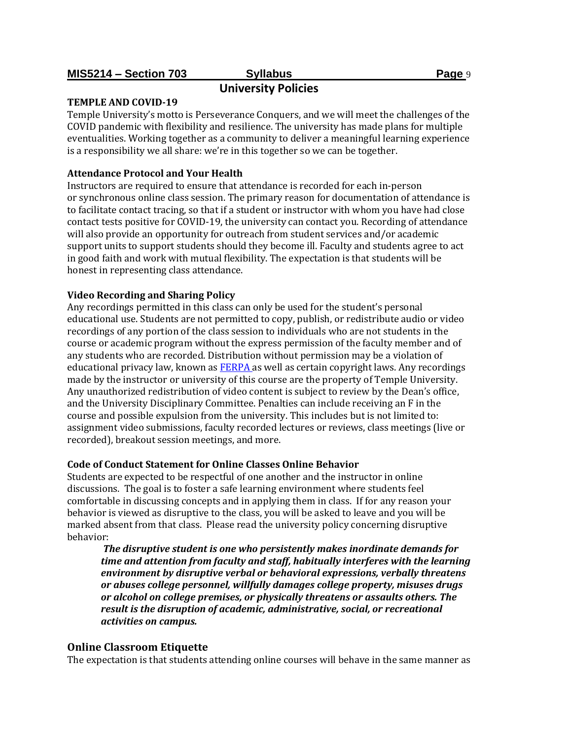# **University Policies**

### **TEMPLE AND COVID-19**

Temple University's motto is Perseverance Conquers, and we will meet the challenges of the COVID pandemic with flexibility and resilience. The university has made plans for multiple eventualities. Working together as a community to deliver a meaningful learning experience is a responsibility we all share: we're in this together so we can be together.

### **Attendance Protocol and Your Health**

Instructors are required to ensure that attendance is recorded for each in-person or synchronous online class session. The primary reason for documentation of attendance is to facilitate contact tracing, so that if a student or instructor with whom you have had close contact tests positive for COVID-19, the university can contact you. Recording of attendance will also provide an opportunity for outreach from student services and/or academic support units to support students should they become ill. Faculty and students agree to act in good faith and work with mutual flexibility. The expectation is that students will be honest in representing class attendance.

### **Video Recording and Sharing Policy**

Any recordings permitted in this class can only be used for the student's personal educational use. Students are not permitted to copy, publish, or redistribute audio or video recordings of any portion of the class session to individuals who are not students in the course or academic program without the express permission of the faculty member and of any students who are recorded. Distribution without permission may be a violation of educational privacy law, known a[s FERPA a](https://bulletin.temple.edu/undergraduate/academic-policies/ferpa/)s well as certain copyright laws. Any recordings made by the instructor or university of this course are the property of Temple University. Any unauthorized redistribution of video content is subject to review by the Dean's office, and the University Disciplinary Committee. Penalties can include receiving an F in the course and possible expulsion from the university. This includes but is not limited to: assignment video submissions, faculty recorded lectures or reviews, class meetings (live or recorded), breakout session meetings, and more.

### **Code of Conduct Statement for Online Classes Online Behavior**

Students are expected to be respectful of one another and the instructor in online discussions. The goal is to foster a safe learning environment where students feel comfortable in discussing concepts and in applying them in class. If for any reason your behavior is viewed as disruptive to the class, you will be asked to leave and you will be marked absent from that class. Please read the university policy concerning disruptive behavior:

*The disruptive student is one who persistently makes inordinate demands for time and attention from faculty and staff, habitually interferes with the learning environment by disruptive verbal or behavioral expressions, verbally threatens or abuses college personnel, willfully damages college property, misuses drugs or alcohol on college premises, or physically threatens or assaults others. The result is the disruption of academic, administrative, social, or recreational activities on campus.*

### **Online Classroom Etiquette**

The expectation is that students attending online courses will behave in the same manner as